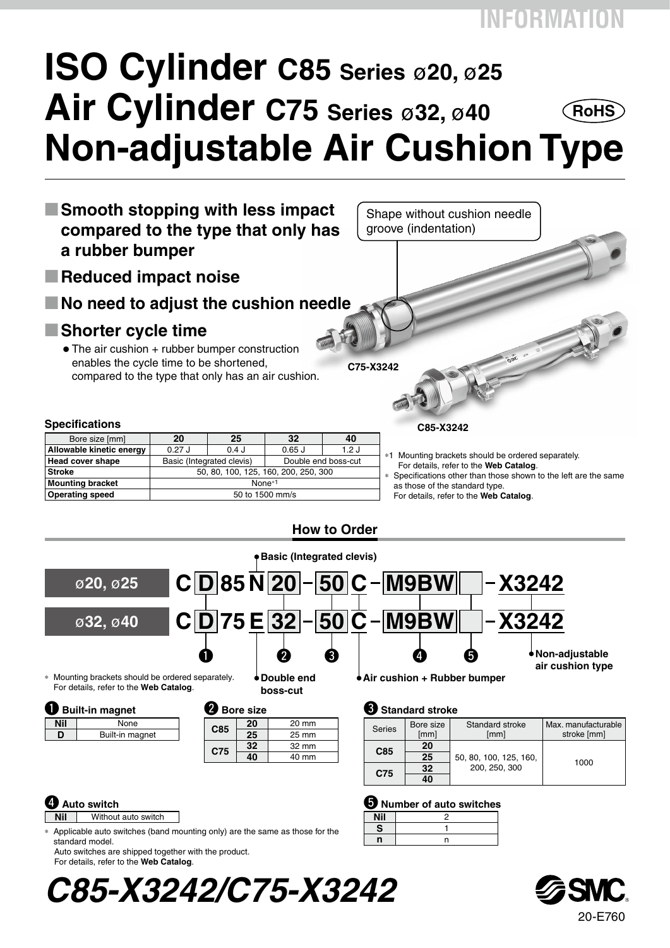### **INFORMATION**

# **RoHS ISO Cylinder C85 Series** <sup>ø</sup>**20,** ø**<sup>25</sup> Air Cylinder C75 Series** <sup>ø</sup>**32,** ø**<sup>40</sup> Non-adjustable Air Cushion Type**



For details, refer to the **Web Catalog**.

**to** Number of auto switches

**40**

Standard stroke [mm]

50, 80, 100, 125, 160, 200, 250, 300 <sup>1000</sup> **<sup>25</sup>**

**Nil** 2 **S** 1 **n** n

Series Bore size [mm]

**C85 <sup>20</sup>**

**C75 <sup>32</sup>**





| Built-in magnet |
|-----------------|
|                 |

| None.           |
|-----------------|
| Built-in magnet |
|                 |

| <b>2</b> Bore size |    |       |  |  |  |  |  |  |  |
|--------------------|----|-------|--|--|--|--|--|--|--|
| C85                | 20 | 20 mm |  |  |  |  |  |  |  |
|                    | 25 | 25 mm |  |  |  |  |  |  |  |
|                    | 32 | 32 mm |  |  |  |  |  |  |  |
| C75                |    | 40 mm |  |  |  |  |  |  |  |
|                    |    |       |  |  |  |  |  |  |  |

#### **4** Auto switch

**Nil** Without auto switch

Applicable auto switches (band mounting only) are the same as those for the standard model.

Auto switches are shipped together with the product. For details, refer to the **Web Catalog**.





Max. manufacturable stroke [mm]

**How to Order**